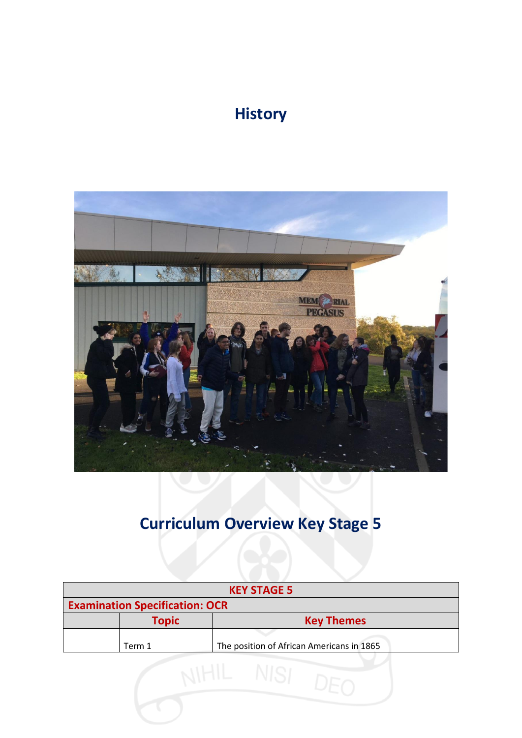## **History**



## **Curriculum Overview Key Stage 5**

| <b>KEY STAGE 5</b>                                  |  |  |  |  |
|-----------------------------------------------------|--|--|--|--|
| <b>Examination Specification: OCR</b>               |  |  |  |  |
| <b>Topic</b><br><b>Key Themes</b>                   |  |  |  |  |
| The position of African Americans in 1865<br>Term 1 |  |  |  |  |
|                                                     |  |  |  |  |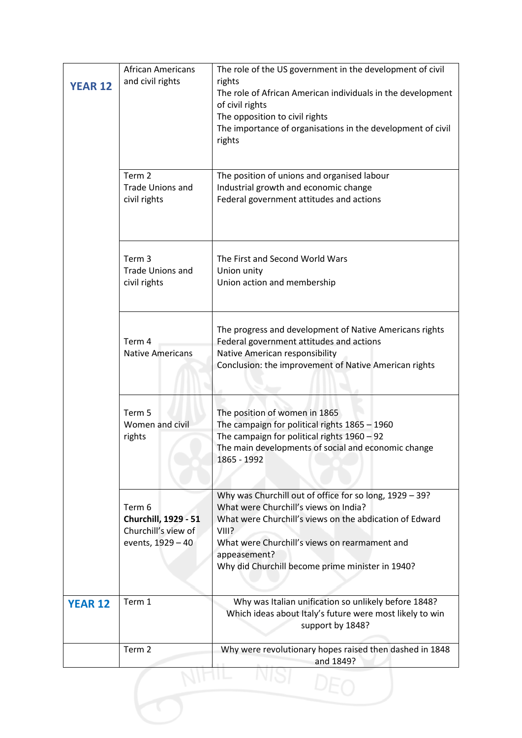| <b>YEAR 12</b> | <b>African Americans</b><br>and civil rights                               | The role of the US government in the development of civil<br>rights<br>The role of African American individuals in the development<br>of civil rights<br>The opposition to civil rights<br>The importance of organisations in the development of civil<br>rights                          |  |
|----------------|----------------------------------------------------------------------------|-------------------------------------------------------------------------------------------------------------------------------------------------------------------------------------------------------------------------------------------------------------------------------------------|--|
|                | Term 2<br><b>Trade Unions and</b><br>civil rights                          | The position of unions and organised labour<br>Industrial growth and economic change<br>Federal government attitudes and actions                                                                                                                                                          |  |
|                | Term 3<br><b>Trade Unions and</b><br>civil rights                          | The First and Second World Wars<br>Union unity<br>Union action and membership                                                                                                                                                                                                             |  |
|                | Term 4<br><b>Native Americans</b>                                          | The progress and development of Native Americans rights<br>Federal government attitudes and actions<br>Native American responsibility<br>Conclusion: the improvement of Native American rights                                                                                            |  |
|                | Term 5<br>Women and civil<br>rights                                        | The position of women in 1865<br>The campaign for political rights 1865 - 1960<br>The campaign for political rights 1960 - 92<br>The main developments of social and economic change<br>1865 - 1992                                                                                       |  |
|                | Term 6<br>Churchill, 1929 - 51<br>Churchill's view of<br>events, 1929 - 40 | Why was Churchill out of office for so long, 1929 - 39?<br>What were Churchill's views on India?<br>What were Churchill's views on the abdication of Edward<br>VIII?<br>What were Churchill's views on rearmament and<br>appeasement?<br>Why did Churchill become prime minister in 1940? |  |
| <b>YEAR 12</b> | Term 1                                                                     | Why was Italian unification so unlikely before 1848?<br>Which ideas about Italy's future were most likely to win<br>support by 1848?                                                                                                                                                      |  |
|                | Term 2                                                                     | Why were revolutionary hopes raised then dashed in 1848<br>and 1849?                                                                                                                                                                                                                      |  |
|                |                                                                            |                                                                                                                                                                                                                                                                                           |  |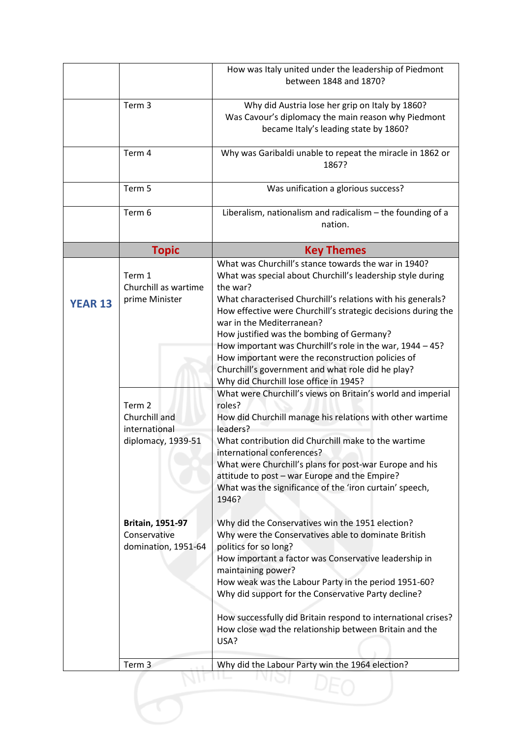|                |                                                                                                                                  | How was Italy united under the leadership of Piedmont<br>between 1848 and 1870?                                                                                                                                                                                                                                                                                                                                                                                                                                                                                                                                                                                                                                                                                                                                                                                                          |
|----------------|----------------------------------------------------------------------------------------------------------------------------------|------------------------------------------------------------------------------------------------------------------------------------------------------------------------------------------------------------------------------------------------------------------------------------------------------------------------------------------------------------------------------------------------------------------------------------------------------------------------------------------------------------------------------------------------------------------------------------------------------------------------------------------------------------------------------------------------------------------------------------------------------------------------------------------------------------------------------------------------------------------------------------------|
|                | Term 3                                                                                                                           | Why did Austria lose her grip on Italy by 1860?<br>Was Cavour's diplomacy the main reason why Piedmont<br>became Italy's leading state by 1860?                                                                                                                                                                                                                                                                                                                                                                                                                                                                                                                                                                                                                                                                                                                                          |
|                | Term 4                                                                                                                           | Why was Garibaldi unable to repeat the miracle in 1862 or<br>1867?                                                                                                                                                                                                                                                                                                                                                                                                                                                                                                                                                                                                                                                                                                                                                                                                                       |
|                | Term 5                                                                                                                           | Was unification a glorious success?                                                                                                                                                                                                                                                                                                                                                                                                                                                                                                                                                                                                                                                                                                                                                                                                                                                      |
|                | Term 6                                                                                                                           | Liberalism, nationalism and radicalism - the founding of a<br>nation.                                                                                                                                                                                                                                                                                                                                                                                                                                                                                                                                                                                                                                                                                                                                                                                                                    |
|                | <b>Topic</b>                                                                                                                     | <b>Key Themes</b>                                                                                                                                                                                                                                                                                                                                                                                                                                                                                                                                                                                                                                                                                                                                                                                                                                                                        |
| <b>YEAR 13</b> | Term 1<br>Churchill as wartime<br>prime Minister                                                                                 | What was Churchill's stance towards the war in 1940?<br>What was special about Churchill's leadership style during<br>the war?<br>What characterised Churchill's relations with his generals?<br>How effective were Churchill's strategic decisions during the<br>war in the Mediterranean?<br>How justified was the bombing of Germany?<br>How important was Churchill's role in the war, 1944 - 45?<br>How important were the reconstruction policies of<br>Churchill's government and what role did he play?<br>Why did Churchill lose office in 1945?                                                                                                                                                                                                                                                                                                                                |
|                | Term 2<br>Churchill and<br>international<br>diplomacy, 1939-51<br><b>Britain, 1951-97</b><br>Conservative<br>domination, 1951-64 | What were Churchill's views on Britain's world and imperial<br>roles?<br>How did Churchill manage his relations with other wartime<br>leaders?<br>What contribution did Churchill make to the wartime<br>international conferences?<br>What were Churchill's plans for post-war Europe and his<br>attitude to post - war Europe and the Empire?<br>What was the significance of the 'iron curtain' speech,<br>1946?<br>Why did the Conservatives win the 1951 election?<br>Why were the Conservatives able to dominate British<br>politics for so long?<br>How important a factor was Conservative leadership in<br>maintaining power?<br>How weak was the Labour Party in the period 1951-60?<br>Why did support for the Conservative Party decline?<br>How successfully did Britain respond to international crises?<br>How close wad the relationship between Britain and the<br>USA? |
|                | Term <sub>3</sub>                                                                                                                | Why did the Labour Party win the 1964 election?                                                                                                                                                                                                                                                                                                                                                                                                                                                                                                                                                                                                                                                                                                                                                                                                                                          |
|                |                                                                                                                                  |                                                                                                                                                                                                                                                                                                                                                                                                                                                                                                                                                                                                                                                                                                                                                                                                                                                                                          |